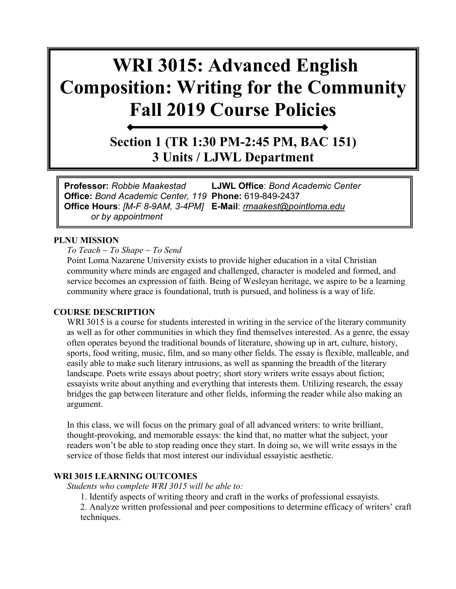# **WRI 3015: Advanced English Composition: Writing for the Community Fall 2019 Course Policies**

**Section 1 (TR 1:30 PM-2:45 PM, BAC 151) 3 Units / LJWL Department**

**Professor:** *Robbie Maakestad* **LJWL Office**: *Bond Academic Center* **Office:** *Bond Academic Center, 119* **Phone:** 619-849-2437 **Office Hours**: *[M-F 8-9AM, 3-4PM]* **E-Mail**: *[rmaakest@pointloma.edu](mailto:rmaakest@pointloma.edu) or by appointment*

#### **PLNU MISSION**

*To Teach ~ To Shape ~ To Send* 

Point Loma Nazarene University exists to provide higher education in a vital Christian community where minds are engaged and challenged, character is modeled and formed, and service becomes an expression of faith. Being of Wesleyan heritage, we aspire to be a learning community where grace is foundational, truth is pursued, and holiness is a way of life.

#### **COURSE DESCRIPTION**

WRI 3015 is a course for students interested in writing in the service of the literary community as well as for other communities in which they find themselves interested. As a genre, the essay often operates beyond the traditional bounds of literature, showing up in art, culture, history, sports, food writing, music, film, and so many other fields. The essay is flexible, malleable, and easily able to make such literary intrusions, as well as spanning the breadth of the literary landscape. Poets write essays about poetry; short story writers write essays about fiction; essayists write about anything and everything that interests them. Utilizing research, the essay bridges the gap between literature and other fields, informing the reader while also making an argument.

In this class, we will focus on the primary goal of all advanced writers: to write brilliant, thought-provoking, and memorable essays: the kind that, no matter what the subject, your readers won't be able to stop reading once they start. In doing so, we will write essays in the service of those fields that most interest our individual essayistic aesthetic.

#### **WRI 3015 LEARNING OUTCOMES**

*Students who complete WRI 3015 will be able to:* 

1. Identify aspects of writing theory and craft in the works of professional essayists.

2. Analyze written professional and peer compositions to determine efficacy of writers' craft techniques.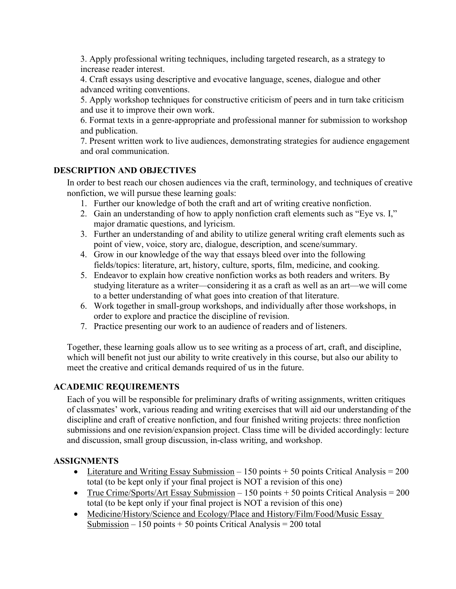3. Apply professional writing techniques, including targeted research, as a strategy to increase reader interest.

4. Craft essays using descriptive and evocative language, scenes, dialogue and other advanced writing conventions.

5. Apply workshop techniques for constructive criticism of peers and in turn take criticism and use it to improve their own work.

6. Format texts in a genre-appropriate and professional manner for submission to workshop and publication.

7. Present written work to live audiences, demonstrating strategies for audience engagement and oral communication.

#### **DESCRIPTION AND OBJECTIVES**

In order to best reach our chosen audiences via the craft, terminology, and techniques of creative nonfiction, we will pursue these learning goals:

- 1. Further our knowledge of both the craft and art of writing creative nonfiction.
- 2. Gain an understanding of how to apply nonfiction craft elements such as "Eye vs. I," major dramatic questions, and lyricism.
- 3. Further an understanding of and ability to utilize general writing craft elements such as point of view, voice, story arc, dialogue, description, and scene/summary.
- 4. Grow in our knowledge of the way that essays bleed over into the following fields/topics: literature, art, history, culture, sports, film, medicine, and cooking.
- 5. Endeavor to explain how creative nonfiction works as both readers and writers. By studying literature as a writer—considering it as a craft as well as an art—we will come to a better understanding of what goes into creation of that literature.
- 6. Work together in small-group workshops, and individually after those workshops, in order to explore and practice the discipline of revision.
- 7. Practice presenting our work to an audience of readers and of listeners.

Together, these learning goals allow us to see writing as a process of art, craft, and discipline, which will benefit not just our ability to write creatively in this course, but also our ability to meet the creative and critical demands required of us in the future.

#### **ACADEMIC REQUIREMENTS**

Each of you will be responsible for preliminary drafts of writing assignments, written critiques of classmates' work, various reading and writing exercises that will aid our understanding of the discipline and craft of creative nonfiction, and four finished writing projects: three nonfiction submissions and one revision/expansion project. Class time will be divided accordingly: lecture and discussion, small group discussion, in-class writing, and workshop.

#### **ASSIGNMENTS**

- Literature and Writing Essay Submission 150 points + 50 points Critical Analysis = 200 total (to be kept only if your final project is NOT a revision of this one)
- True Crime/Sports/Art Essay Submission 150 points + 50 points Critical Analysis =  $200$ total (to be kept only if your final project is NOT a revision of this one)
- Medicine/History/Science and Ecology/Place and History/Film/Food/Music Essay Submission – 150 points + 50 points Critical Analysis = 200 total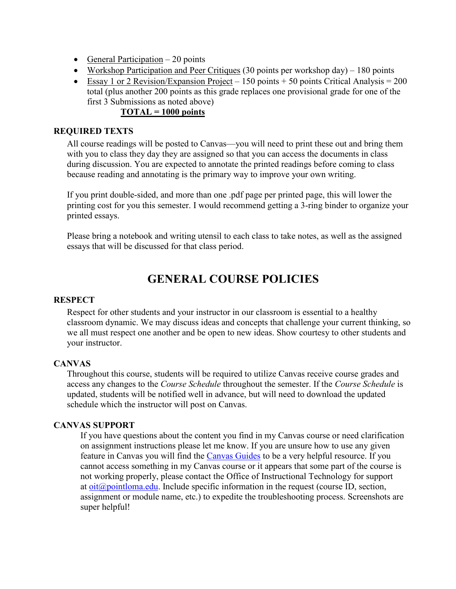- General Participation 20 points
- Workshop Participation and Peer Critiques (30 points per workshop day) 180 points
- Essay 1 or 2 Revision/Expansion Project 150 points + 50 points Critical Analysis = 200 total (plus another 200 points as this grade replaces one provisional grade for one of the first 3 Submissions as noted above)

#### **TOTAL = 1000 points**

#### **REQUIRED TEXTS**

All course readings will be posted to Canvas—you will need to print these out and bring them with you to class they day they are assigned so that you can access the documents in class during discussion. You are expected to annotate the printed readings before coming to class because reading and annotating is the primary way to improve your own writing.

If you print double-sided, and more than one .pdf page per printed page, this will lower the printing cost for you this semester. I would recommend getting a 3-ring binder to organize your printed essays.

Please bring a notebook and writing utensil to each class to take notes, as well as the assigned essays that will be discussed for that class period.

### **GENERAL COURSE POLICIES**

#### **RESPECT**

Respect for other students and your instructor in our classroom is essential to a healthy classroom dynamic. We may discuss ideas and concepts that challenge your current thinking, so we all must respect one another and be open to new ideas. Show courtesy to other students and your instructor.

#### **CANVAS**

Throughout this course, students will be required to utilize Canvas receive course grades and access any changes to the *Course Schedule* throughout the semester. If the *Course Schedule* is updated, students will be notified well in advance, but will need to download the updated schedule which the instructor will post on Canvas.

#### **CANVAS SUPPORT**

If you have questions about the content you find in my Canvas course or need clarification on assignment instructions please let me know. If you are unsure how to use any given feature in Canvas you will find the [Canvas Guides](https://community.canvaslms.com/community/answers/guides/) to be a very helpful resource. If you cannot access something in my Canvas course or it appears that some part of the course is not working properly, please contact the Office of Instructional Technology for support at  $oit(\omega)$  pointloma.edu. Include specific information in the request (course ID, section, assignment or module name, etc.) to expedite the troubleshooting process. Screenshots are super helpful!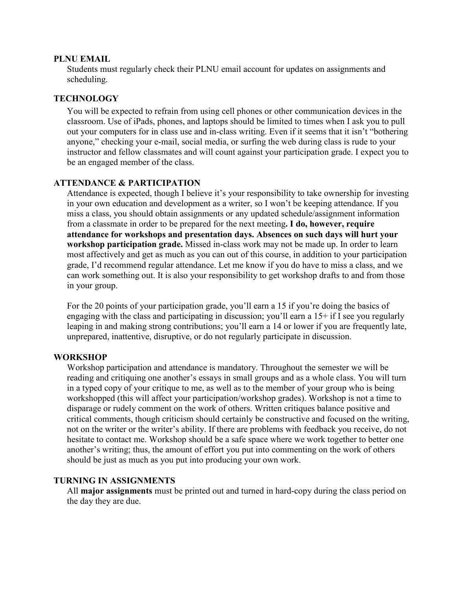#### **PLNU EMAIL**

Students must regularly check their PLNU email account for updates on assignments and scheduling.

#### **TECHNOLOGY**

You will be expected to refrain from using cell phones or other communication devices in the classroom. Use of iPads, phones, and laptops should be limited to times when I ask you to pull out your computers for in class use and in-class writing. Even if it seems that it isn't "bothering anyone," checking your e-mail, social media, or surfing the web during class is rude to your instructor and fellow classmates and will count against your participation grade. I expect you to be an engaged member of the class.

#### **ATTENDANCE & PARTICIPATION**

Attendance is expected, though I believe it's your responsibility to take ownership for investing in your own education and development as a writer, so I won't be keeping attendance. If you miss a class, you should obtain assignments or any updated schedule/assignment information from a classmate in order to be prepared for the next meeting**. I do, however, require attendance for workshops and presentation days. Absences on such days will hurt your workshop participation grade.** Missed in-class work may not be made up. In order to learn most affectively and get as much as you can out of this course, in addition to your participation grade, I'd recommend regular attendance. Let me know if you do have to miss a class, and we can work something out. It is also your responsibility to get workshop drafts to and from those in your group.

For the 20 points of your participation grade, you'll earn a 15 if you're doing the basics of engaging with the class and participating in discussion; you'll earn a 15+ if I see you regularly leaping in and making strong contributions; you'll earn a 14 or lower if you are frequently late, unprepared, inattentive, disruptive, or do not regularly participate in discussion.

#### **WORKSHOP**

Workshop participation and attendance is mandatory. Throughout the semester we will be reading and critiquing one another's essays in small groups and as a whole class. You will turn in a typed copy of your critique to me, as well as to the member of your group who is being workshopped (this will affect your participation/workshop grades). Workshop is not a time to disparage or rudely comment on the work of others. Written critiques balance positive and critical comments, though criticism should certainly be constructive and focused on the writing, not on the writer or the writer's ability. If there are problems with feedback you receive, do not hesitate to contact me. Workshop should be a safe space where we work together to better one another's writing; thus, the amount of effort you put into commenting on the work of others should be just as much as you put into producing your own work.

#### **TURNING IN ASSIGNMENTS**

All **major assignments** must be printed out and turned in hard-copy during the class period on the day they are due.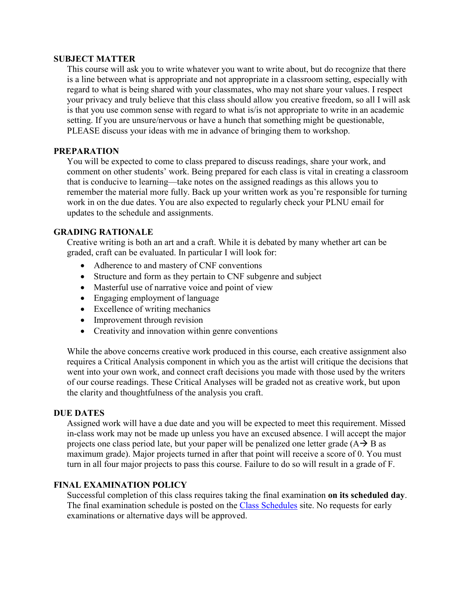#### **SUBJECT MATTER**

This course will ask you to write whatever you want to write about, but do recognize that there is a line between what is appropriate and not appropriate in a classroom setting, especially with regard to what is being shared with your classmates, who may not share your values. I respect your privacy and truly believe that this class should allow you creative freedom, so all I will ask is that you use common sense with regard to what is/is not appropriate to write in an academic setting. If you are unsure/nervous or have a hunch that something might be questionable, PLEASE discuss your ideas with me in advance of bringing them to workshop.

#### **PREPARATION**

You will be expected to come to class prepared to discuss readings, share your work, and comment on other students' work. Being prepared for each class is vital in creating a classroom that is conducive to learning—take notes on the assigned readings as this allows you to remember the material more fully. Back up your written work as you're responsible for turning work in on the due dates. You are also expected to regularly check your PLNU email for updates to the schedule and assignments.

#### **GRADING RATIONALE**

Creative writing is both an art and a craft. While it is debated by many whether art can be graded, craft can be evaluated. In particular I will look for:

- Adherence to and mastery of CNF conventions
- Structure and form as they pertain to CNF subgenre and subject
- Masterful use of narrative voice and point of view
- Engaging employment of language
- Excellence of writing mechanics
- Improvement through revision
- Creativity and innovation within genre conventions

While the above concerns creative work produced in this course, each creative assignment also requires a Critical Analysis component in which you as the artist will critique the decisions that went into your own work, and connect craft decisions you made with those used by the writers of our course readings. These Critical Analyses will be graded not as creative work, but upon the clarity and thoughtfulness of the analysis you craft.

#### **DUE DATES**

Assigned work will have a due date and you will be expected to meet this requirement. Missed in-class work may not be made up unless you have an excused absence. I will accept the major projects one class period late, but your paper will be penalized one letter grade  $(A \rightarrow B$  as maximum grade). Major projects turned in after that point will receive a score of 0. You must turn in all four major projects to pass this course. Failure to do so will result in a grade of F.

#### **FINAL EXAMINATION POLICY**

Successful completion of this class requires taking the final examination **on its scheduled day**. The final examination schedule is posted on the [Class Schedules](http://www.pointloma.edu/experience/academics/class-schedules) site. No requests for early examinations or alternative days will be approved.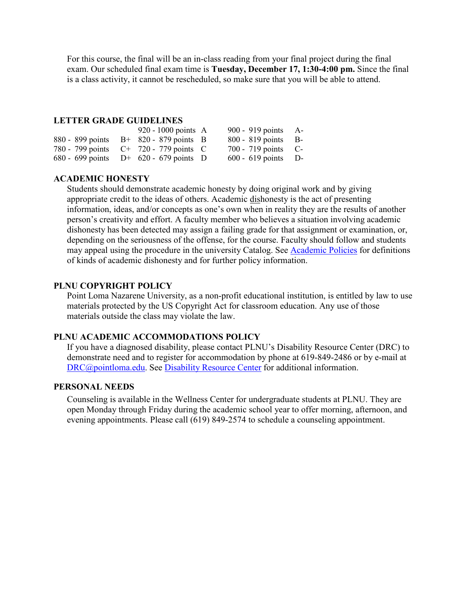For this course, the final will be an in-class reading from your final project during the final exam. Our scheduled final exam time is **Tuesday, December 17, 1:30-4:00 pm.** Since the final is a class activity, it cannot be rescheduled, so make sure that you will be able to attend.

#### **LETTER GRADE GUIDELINES**

|  | 920 - 1000 points $\overline{A}$          | 900 - 919 points $A-$ |  |
|--|-------------------------------------------|-----------------------|--|
|  | 880 - 899 points $B+820-879$ points B     | $800 - 819$ points B- |  |
|  | 780 - 799 points C+ 720 - 779 points C    | $700 - 719$ points C- |  |
|  | 680 - 699 points $D^+$ 620 - 679 points D | $600 - 619$ points D- |  |

#### **ACADEMIC HONESTY**

Students should demonstrate academic honesty by doing original work and by giving appropriate credit to the ideas of others. Academic dishonesty is the act of presenting information, ideas, and/or concepts as one's own when in reality they are the results of another person's creativity and effort. A faculty member who believes a situation involving academic dishonesty has been detected may assign a failing grade for that assignment or examination, or, depending on the seriousness of the offense, for the course. Faculty should follow and students may appeal using the procedure in the university Catalog. See [Academic Policies](http://catalog.pointloma.edu/content.php?catoid=18&navoid=1278) for definitions of kinds of academic dishonesty and for further policy information.

#### **PLNU COPYRIGHT POLICY**

Point Loma Nazarene University, as a non-profit educational institution, is entitled by law to use materials protected by the US Copyright Act for classroom education. Any use of those materials outside the class may violate the law.

#### **PLNU ACADEMIC ACCOMMODATIONS POLICY**

If you have a diagnosed disability, please contact PLNU's Disability Resource Center (DRC) to demonstrate need and to register for accommodation by phone at 619-849-2486 or by e-mail at [DRC@pointloma.edu.](mailto:DRC@pointloma.edu) See [Disability Resource Center](http://www.pointloma.edu/experience/offices/administrative-offices/academic-advising-office/disability-resource-center) for additional information.

#### **PERSONAL NEEDS**

Counseling is available in the Wellness Center for undergraduate students at PLNU. They are open Monday through Friday during the academic school year to offer morning, afternoon, and evening appointments. Please call (619) 849-2574 to schedule a counseling appointment.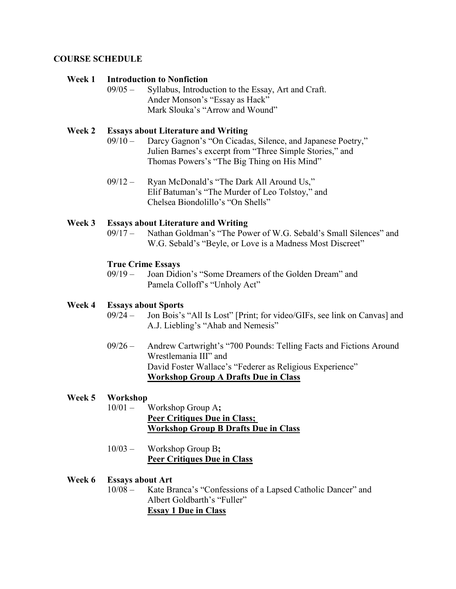#### **COURSE SCHEDULE**

#### **Week 1 Introduction to Nonfiction**

09/05 – Syllabus, Introduction to the Essay, Art and Craft. Ander Monson's "Essay as Hack" Mark Slouka's "Arrow and Wound"

#### **Week 2 Essays about Literature and Writing**

- 09/10 Darcy Gagnon's "On Cicadas, Silence, and Japanese Poetry," Julien Barnes's excerpt from "Three Simple Stories," and Thomas Powers's "The Big Thing on His Mind"
- 09/12 Ryan McDonald's "The Dark All Around Us," Elif Batuman's "The Murder of Leo Tolstoy," and Chelsea Biondolillo's "On Shells"

## **Week 3 Essays about Literature and Writing**

Nathan Goldman's "The Power of W.G. Sebald's Small Silences" and W.G. Sebald's "Beyle, or Love is a Madness Most Discreet"

#### **True Crime Essays**

09/19 – Joan Didion's "Some Dreamers of the Golden Dream" and Pamela Colloff's "Unholy Act"

#### **Week 4 Essays about Sports**

- 09/24 Jon Bois's "All Is Lost" [Print; for video/GIFs, see link on Canvas] and A.J. Liebling's "Ahab and Nemesis"
- 09/26 Andrew Cartwright's "700 Pounds: Telling Facts and Fictions Around Wrestlemania III" and David Foster Wallace's "Federer as Religious Experience" **Workshop Group A Drafts Due in Class**

#### **Week 5 Workshop**

- 10/01 Workshop Group A**; Peer Critiques Due in Class; Workshop Group B Drafts Due in Class**
- 10/03 Workshop Group B**; Peer Critiques Due in Class**

#### **Week 6 Essays about Art**

10/08 – Kate Branca's "Confessions of a Lapsed Catholic Dancer" and Albert Goldbarth's "Fuller" **Essay 1 Due in Class**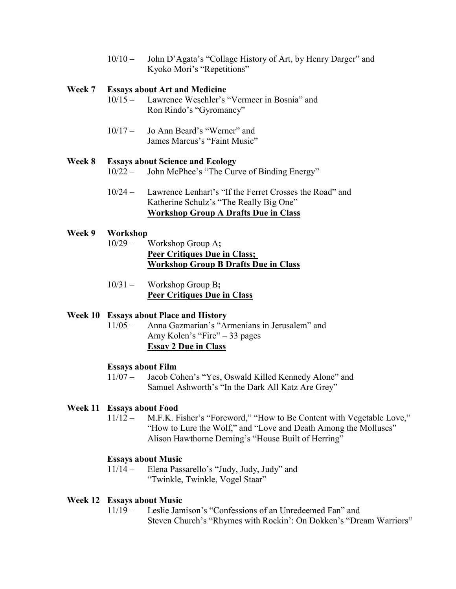10/10 – John D'Agata's "Collage History of Art, by Henry Darger" and Kyoko Mori's "Repetitions"

#### **Week 7 Essays about Art and Medicine**

- 10/15 Lawrence Weschler's "Vermeer in Bosnia" and Ron Rindo's "Gyromancy"
- 10/17 Jo Ann Beard's "Werner" and James Marcus's "Faint Music"

#### **Week 8 Essays about Science and Ecology**

- 10/22 John McPhee's "The Curve of Binding Energy"
- 10/24 Lawrence Lenhart's "If the Ferret Crosses the Road" and Katherine Schulz's "The Really Big One" **Workshop Group A Drafts Due in Class**

#### **Week 9 Workshop**

- 10/29 Workshop Group A**; Peer Critiques Due in Class; Workshop Group B Drafts Due in Class**
- 10/31 Workshop Group B**; Peer Critiques Due in Class**

#### **Week 10 Essays about Place and History**

11/05 – Anna Gazmarian's "Armenians in Jerusalem" and Amy Kolen's "Fire" – 33 pages **Essay 2 Due in Class**

#### **Essays about Film**

11/07 – Jacob Cohen's "Yes, Oswald Killed Kennedy Alone" and Samuel Ashworth's "In the Dark All Katz Are Grey"

#### **Week 11 Essays about Food**

11/12 – M.F.K. Fisher's "Foreword," "How to Be Content with Vegetable Love," "How to Lure the Wolf," and "Love and Death Among the Molluscs" Alison Hawthorne Deming's "House Built of Herring"

#### **Essays about Music**

11/14 – Elena Passarello's "Judy, Judy, Judy" and "Twinkle, Twinkle, Vogel Staar"

#### **Week 12 Essays about Music**

11/19 – Leslie Jamison's "Confessions of an Unredeemed Fan" and Steven Church's "Rhymes with Rockin': On Dokken's "Dream Warriors"